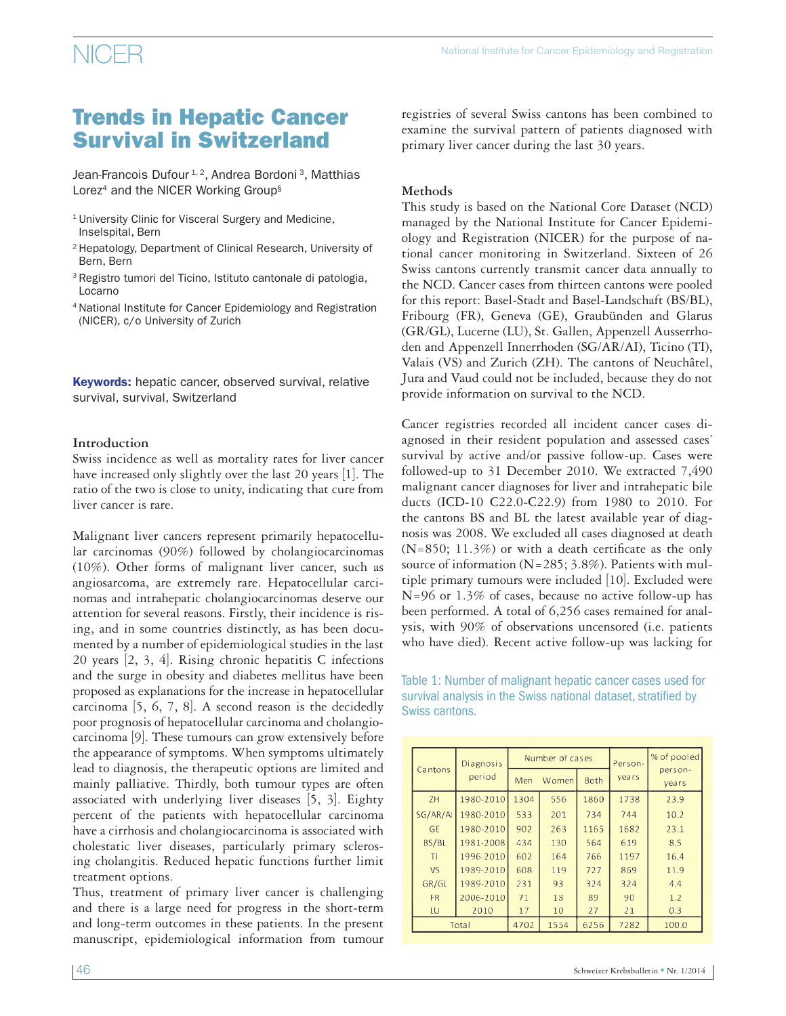### $NICER$   $National Institute for Cancer Epidemiology and Registration$

### Trends in Hepatic Cancer Survival in Switzerland

Jean-Francois Dufour<sup>1, 2</sup>, Andrea Bordoni<sup>3</sup>, Matthias Lorez<sup>4</sup> and the NICER Working Group<sup>§</sup>

- <sup>1</sup> University Clinic for Visceral Surgery and Medicine, Inselspital, Bern
- 2 Hepatology, Department of Clinical Research, University of Bern, Bern
- 3 Registro tumori del Ticino, Istituto cantonale di patologia, Locarno
- 4 National Institute for Cancer Epidemiology and Registration (NICER), c/o University of Zurich

**Keywords:** hepatic cancer, observed survival, relative survival, survival, Switzerland

#### **Introduction**

Swiss incidence as well as mortality rates for liver cancer have increased only slightly over the last 20 years [1]. The ratio of the two is close to unity, indicating that cure from liver cancer is rare.

Malignant liver cancers represent primarily hepatocellular carcinomas (90%) followed by cholangiocarcinomas (10%). Other forms of malignant liver cancer, such as angiosarcoma, are extremely rare. Hepatocellular carcinomas and intrahepatic cholangiocarcinomas deserve our attention for several reasons. Firstly, their incidence is rising, and in some countries distinctly, as has been documented by a number of epidemiological studies in the last 20 years [2, 3, 4]. Rising chronic hepatitis C infections and the surge in obesity and diabetes mellitus have been proposed as explanations for the increase in hepatocellular carcinoma [5, 6, 7, 8]. A second reason is the decidedly poor prognosis of hepatocellular carcinoma and cholangiocarcinoma [9]. These tumours can grow extensively before the appearance of symptoms. When symptoms ultimately lead to diagnosis, the therapeutic options are limited and mainly palliative. Thirdly, both tumour types are often associated with underlying liver diseases [5, 3]. Eighty percent of the patients with hepatocellular carcinoma have a cirrhosis and cholangiocarcinoma is associated with cholestatic liver diseases, particularly primary sclerosing cholangitis. Reduced hepatic functions further limit treatment options.

Thus, treatment of primary liver cancer is challenging and there is a large need for progress in the short-term and long-term outcomes in these patients. In the present manuscript, epidemiological information from tumour registries of several Swiss cantons has been combined to examine the survival pattern of patients diagnosed with primary liver cancer during the last 30 years.

#### **Methods**

This study is based on the National Core Dataset (NCD) managed by the National Institute for Cancer Epidemiology and Registration (NICER) for the purpose of national cancer monitoring in Switzerland. Sixteen of 26 Swiss cantons currently transmit cancer data annually to the NCD. Cancer cases from thirteen cantons were pooled for this report: Basel-Stadt and Basel-Landschaft (BS/BL), Fribourg (FR), Geneva (GE), Graubünden and Glarus (GR/GL), Lucerne (LU), St. Gallen, Appenzell Ausserrhoden and Appenzell Innerrhoden (SG/AR/AI), Ticino (TI), Valais (VS) and Zurich (ZH). The cantons of Neuchâtel, Jura and Vaud could not be included, because they do not provide information on survival to the NCD.

Cancer registries recorded all incident cancer cases diagnosed in their resident population and assessed cases' survival by active and/or passive follow-up. Cases were followed-up to 31 December 2010. We extracted 7,490 malignant cancer diagnoses for liver and intrahepatic bile ducts (ICD-10 C22.0-C22.9) from 1980 to 2010. For the cantons BS and BL the latest available year of diagnosis was 2008. We excluded all cases diagnosed at death (N=850; 11.3%) or with a death certificate as the only source of information ( $N=285$ ; 3.8%). Patients with multiple primary tumours were included [10]. Excluded were N=96 or 1.3% of cases, because no active follow-up has been performed. A total of 6,256 cases remained for analysis, with 90% of observations uncensored (i.e. patients who have died). Recent active follow-up was lacking for

Table 1: Number of malignant hepatic cancer cases used for survival analysis in the Swiss national dataset, stratified by Swiss cantons.

| Cantons   | Diagnosis |      | Number of cases |             | Person- | % of pooled      |  |
|-----------|-----------|------|-----------------|-------------|---------|------------------|--|
|           | period    | Men  | Women           | <b>Both</b> | years   | person-<br>years |  |
| ZH        | 1980-2010 | 1304 | 556             | 1860        | 1738    | 23.9             |  |
| SG/AR/AI  | 1980-2010 | 533  | 201             | 734         | 744     | 10.2             |  |
| <b>GE</b> | 1980-2010 | 902  | 263             | 1165        | 1682    | 23.1             |  |
| BS/BL     | 1981-2008 | 434  | 130             | 564         | 619     | 8.5              |  |
| TI        | 1996-2010 | 602  | 164             | 766         | 1197    | 16.4             |  |
| VS        | 1989-2010 | 608  | 119             | 727         | 869     | 11.9             |  |
| GR/GL     | 1989-2010 | 231  | 93              | 324         | 324     | 4.4              |  |
| <b>FR</b> | 2006-2010 | 71   | 18              | 89          | 90      | 1.2              |  |
| LU        | 2010      | 17   | 10              | 27          | 21      | 0.3              |  |
|           | Total     | 4702 | 1554            | 6256        | 7282    | 100.0            |  |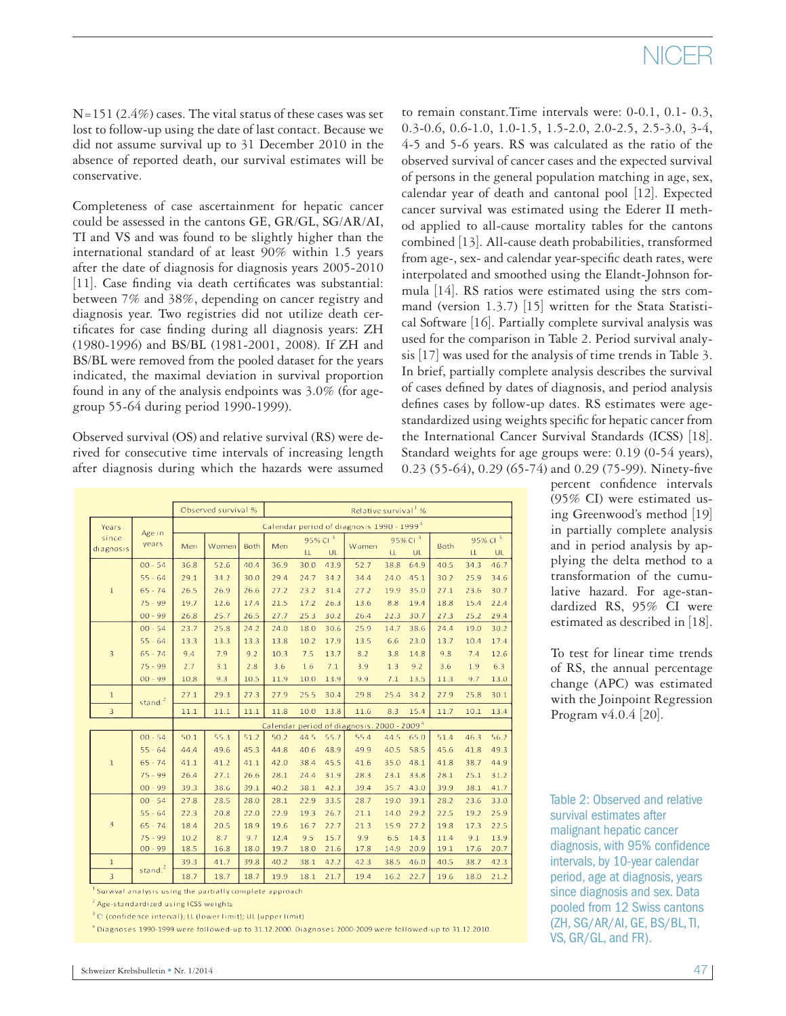# NICER

 $N=151$  (2.4%) cases. The vital status of these cases was set lost to follow-up using the date of last contact. Because we did not assume survival up to 31 December 2010 in the absence of reported death, our survival estimates will be conservative.

Completeness of case ascertainment for hepatic cancer could be assessed in the cantons GE, GR/GL, SG/AR/AI, TI and VS and was found to be slightly higher than the international standard of at least 90% within 1.5 years after the date of diagnosis for diagnosis years 2005-2010 [11]. Case finding via death certificates was substantial: between 7% and 38%, depending on cancer registry and diagnosis year. Two registries did not utilize death certificates for case finding during all diagnosis years: ZH (1980-1996) and BS/BL (1981-2001, 2008). If ZH and BS/BL were removed from the pooled dataset for the years indicated, the maximal deviation in survival proportion found in any of the analysis endpoints was 3.0% (for agegroup 55-64 during period 1990-1999).

Observed survival (OS) and relative survival (RS) were derived for consecutive time intervals of increasing length after diagnosis during which the hazards were assumed

|                                                        |                     | Observed survival %<br>Relative survival <sup>1</sup> % |       |      |      |                     |           |       |                     |           |             |                     |      |
|--------------------------------------------------------|---------------------|---------------------------------------------------------|-------|------|------|---------------------|-----------|-------|---------------------|-----------|-------------|---------------------|------|
| Years                                                  | Age in<br>years     | Calendar period of diagnosis 1990 - 1999 <sup>4</sup>   |       |      |      |                     |           |       |                     |           |             |                     |      |
| since<br>diagnosis                                     |                     | Men                                                     | Women | Both | Men  | 95% Cl <sup>3</sup> |           |       | 95% Cl <sup>3</sup> |           |             | 95% Cl <sup>3</sup> |      |
|                                                        |                     |                                                         |       |      |      | LL                  | <b>UL</b> | Women | LL                  | <b>UL</b> | <b>Both</b> | LL                  | UL   |
| $\,1\,$                                                | $00 - 54$           | 36.8                                                    | 52.6  | 40.4 | 36.9 | 30.0                | 43.9      | 52.7  | 38.8                | 64.9      | 40.5        | 34.3                | 46.7 |
|                                                        | $55 - 64$           | 29.1                                                    | 34.2  | 30.0 | 29.4 | 24.7                | 34.2      | 34.4  | 24.0                | 45.1      | 30.2        | 25.9                | 34.6 |
|                                                        | $65 - 74$           | 26.5                                                    | 26.9  | 26.6 | 27.2 | 23.2                | 31.4      | 27.2  | 19.9                | 35.0      | 27.1        | 23.6                | 30.7 |
|                                                        | $75 - 99$           | 19.7                                                    | 12.6  | 17.4 | 21.5 | 17.2                | 26.3      | 13.6  | 8.8                 | 19.4      | 18.8        | 15.4                | 22.4 |
|                                                        | $00 - 99$           | 26.8                                                    | 25.7  | 26.5 | 27.7 | 25.3                | 30.2      | 26.4  | 22.3                | 30.7      | 27.3        | 25.2                | 29.4 |
|                                                        | $00 - 54$           | 23.7                                                    | 25.8  | 24.2 | 24.0 | 18.0                | 30.6      | 25.9  | 14.7                | 38.6      | 24.4        | 19.0                | 30.2 |
|                                                        | $55 - 64$           | 13.3                                                    | 13.3  | 13.3 | 13.8 | 10.2                | 17.9      | 13.5  | 6.6                 | 23.0      | 13.7        | 10.4                | 17.4 |
| $\overline{3}$                                         | $65 - 74$           | 9.4                                                     | 7.9   | 9.2  | 10.3 | 7.5                 | 13.7      | 8.2   | 3.8                 | 14.8      | 9.8         | 7.4                 | 12.6 |
|                                                        | $75 - 99$           | 2.7                                                     | 3.1   | 2.8  | 3.6  | 1.6                 | 7.1       | 3.9   | 1.3                 | 9.2       | 3.6         | 1.9                 | 6.3  |
|                                                        | $00 - 99$           | 10.8                                                    | 9.3   | 10.5 | 11.9 | 10.0                | 13.9      | 9.9   | 7.1                 | 13.5      | 11.3        | 9.7                 | 13.0 |
| $\mathbf{1}$                                           | stand. $2$          | 27.1                                                    | 29.3  | 27.3 | 27.9 | 25.5                | 30.4      | 29.8  | 25.4                | 34.2      | 27.9        | 25.8                | 30.1 |
| 3                                                      |                     | 11.1                                                    | 11.1  | 11.1 | 11.8 | 10.0                | 13.8      | 11.6  | 8.3                 | 15.4      | 11.7        | 10.1                | 13.4 |
| Calendar period of diagnosis: 2000 - 2009 <sup>4</sup> |                     |                                                         |       |      |      |                     |           |       |                     |           |             |                     |      |
|                                                        | $00 - 54$           | 50.1                                                    | 55.3  | 51.2 | 50.2 | 44.5                | 55.7      | 55.4  | 44.5                | 65.0      | 51.4        | 46.3                | 56.2 |
| $\mathbf{1}$                                           | $55 - 64$           | 44.4                                                    | 49.6  | 45.3 | 44.8 | 40.6                | 48.9      | 49.9  | 40.5                | 58.5      | 45.6        | 41.8                | 49.3 |
|                                                        | $65 - 74$           | 41.1                                                    | 41.2  | 41.1 | 42.0 | 38.4                | 45.5      | 41.6  | 35.0                | 48.1      | 41.8        | 38.7                | 44.9 |
|                                                        | $75 - 99$           | 26.4                                                    | 27.1  | 26.6 | 28.1 | 24.4                | 31.9      | 28.3  | 23.1                | 33.8      | 28.1        | 25.1                | 31.2 |
|                                                        | $00 - 99$           | 39.3                                                    | 38.6  | 39.1 | 40.2 | 38.1                | 42.3      | 39.4  | 35.7                | 43.0      | 39.9        | 38.1                | 41.7 |
| 3                                                      | $00 - 54$           | 27.8                                                    | 28.5  | 28.0 | 28.1 | 22.9                | 33.5      | 28.7  | 19.0                | 39.1      | 28.2        | 23.6                | 33.0 |
|                                                        | $55 - 64$           | 22.3                                                    | 20.8  | 22.0 | 22.9 | 19.3                | 26.7      | 21.1  | 14.0                | 29.2      | 22.5        | 19.2                | 25.9 |
|                                                        | $65 - 74$           | 18.4                                                    | 20.5  | 18.9 | 19.6 | 16.7                | 22.7      | 21.3  | 15.9                | 27.2      | 19.8        | 17.3                | 22.5 |
|                                                        | $75 - 99$           | 10.2                                                    | 8.7   | 9.7  | 12.4 | 9.5                 | 15.7      | 9.9   | 6.5                 | 14.3      | 11.4        | 9.1                 | 13.9 |
|                                                        | $00 - 99$           | 18.5                                                    | 16.8  | 18.0 | 19.7 | 18.0                | 21.6      | 17.8  | 14.9                | 20.9      | 19.1        | 17.6                | 20.7 |
| $\mathbf{1}$                                           | stand. <sup>2</sup> | 39.3                                                    | 41.7  | 39.8 | 40.2 | 38.1                | 42.2      | 42.3  | 38.5                | 46.0      | 40.5        | 38.7                | 42.3 |
| $\overline{3}$                                         |                     | 18.7                                                    | 18.7  | 18.7 | 19.9 | 18.1                | 21.7      | 19.4  | 16.2                | 22.7      | 19.6        | 18.0                | 21.2 |

<sup>1</sup> Survival analysis using the partially complete approach

<sup>2</sup> Age-standardized using ICSS weights

<sup>3</sup> CI (confidence interval); LL (lower limit); UL (upper limit)

 $^4$  Diagnoses 1990-1999 were followed-up to 31.12.2000. Diagnoses 2000-2009 were followed-up to 31.12.2010

to remain constant.Time intervals were: 0-0.1, 0.1- 0.3, 0.3-0.6, 0.6-1.0, 1.0-1.5, 1.5-2.0, 2.0-2.5, 2.5-3.0, 3-4, 4-5 and 5-6 years. RS was calculated as the ratio of the observed survival of cancer cases and the expected survival of persons in the general population matching in age, sex, calendar year of death and cantonal pool [12]. Expected cancer survival was estimated using the Ederer II method applied to all-cause mortality tables for the cantons combined [13]. All-cause death probabilities, transformed from age-, sex- and calendar year-specific death rates, were interpolated and smoothed using the Elandt-Johnson formula [14]. RS ratios were estimated using the strs command (version 1.3.7) [15] written for the Stata Statistical Software [16]. Partially complete survival analysis was used for the comparison in Table 2. Period survival analysis [17] was used for the analysis of time trends in Table 3. In brief, partially complete analysis describes the survival of cases defined by dates of diagnosis, and period analysis defines cases by follow-up dates. RS estimates were agestandardized using weights specific for hepatic cancer from the International Cancer Survival Standards (ICSS) [18]. Standard weights for age groups were: 0.19 (0-54 years), 0.23 (55-64), 0.29 (65-74) and 0.29 (75-99). Ninety-five

percent confidence intervals (95% CI) were estimated using Greenwood's method [19] in partially complete analysis and in period analysis by applying the delta method to a transformation of the cumulative hazard. For age-standardized RS, 95% CI were estimated as described in [18].

To test for linear time trends of RS, the annual percentage change (APC) was estimated with the Joinpoint Regression Program v4.0.4 [20].

Table 2: Observed and relative survival estimates after malignant hepatic cancer diagnosis, with 95% confidence intervals, by 10-year calendar period, age at diagnosis, years since diagnosis and sex. Data pooled from 12 Swiss cantons (ZH, SG/AR/AI, GE, BS/BL, TI, VS, GR/GL, and FR).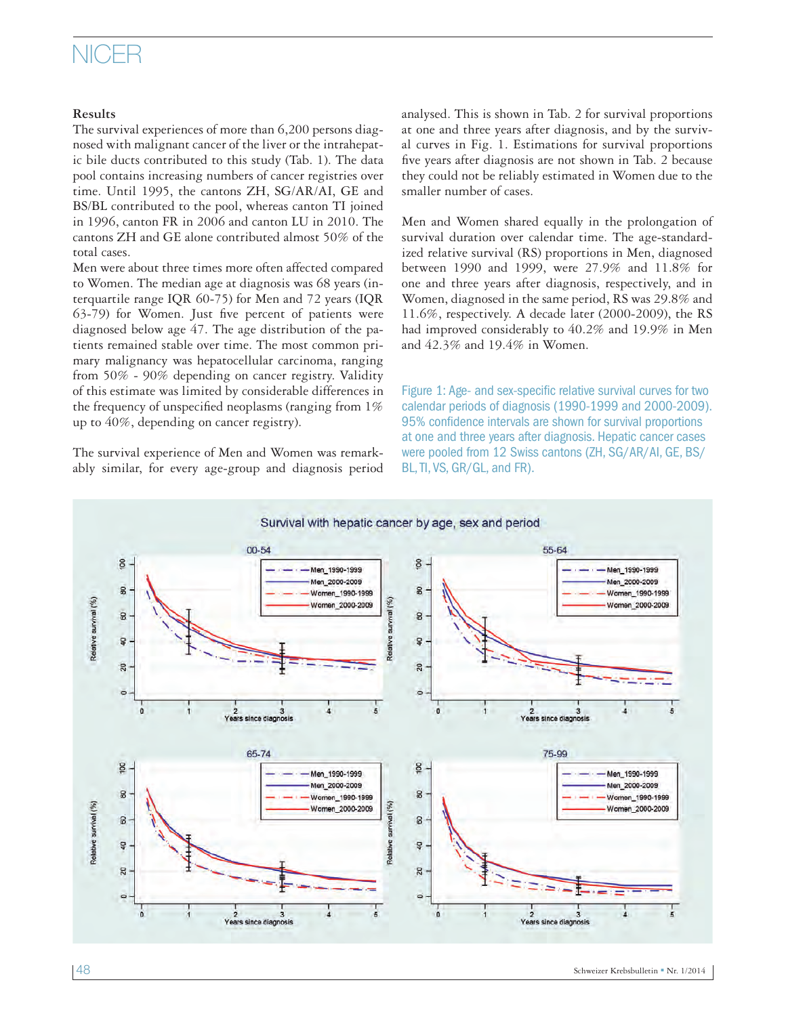## NICER

### **Results**

The survival experiences of more than 6,200 persons diagnosed with malignant cancer of the liver or the intrahepatic bile ducts contributed to this study (Tab. 1). The data pool contains increasing numbers of cancer registries over time. Until 1995, the cantons ZH, SG/AR/AI, GE and BS/BL contributed to the pool, whereas canton TI joined in 1996, canton FR in 2006 and canton LU in 2010. The cantons ZH and GE alone contributed almost 50% of the total cases.

Men were about three times more often affected compared to Women. The median age at diagnosis was 68 years (interquartile range IQR 60-75) for Men and 72 years (IQR 63-79) for Women. Just five percent of patients were diagnosed below age 47. The age distribution of the patients remained stable over time. The most common primary malignancy was hepatocellular carcinoma, ranging from 50% - 90% depending on cancer registry. Validity of this estimate was limited by considerable differences in the frequency of unspecified neoplasms (ranging from 1% up to 40%, depending on cancer registry).

The survival experience of Men and Women was remarkably similar, for every age-group and diagnosis period analysed. This is shown in Tab. 2 for survival proportions at one and three years after diagnosis, and by the survival curves in Fig. 1. Estimations for survival proportions five years after diagnosis are not shown in Tab. 2 because they could not be reliably estimated in Women due to the smaller number of cases.

Men and Women shared equally in the prolongation of survival duration over calendar time. The age-standardized relative survival (RS) proportions in Men, diagnosed between 1990 and 1999, were 27.9% and 11.8% for one and three years after diagnosis, respectively, and in Women, diagnosed in the same period, RS was 29.8% and 11.6%, respectively. A decade later (2000-2009), the RS had improved considerably to 40.2% and 19.9% in Men and 42.3% and 19.4% in Women.

Figure 1: Age- and sex-specific relative survival curves for two calendar periods of diagnosis (1990-1999 and 2000-2009). 95% confidence intervals are shown for survival proportions at one and three years after diagnosis. Hepatic cancer cases were pooled from 12 Swiss cantons (ZH, SG/AR/AI, GE, BS/ BL, TI, VS, GR/GL, and FR).

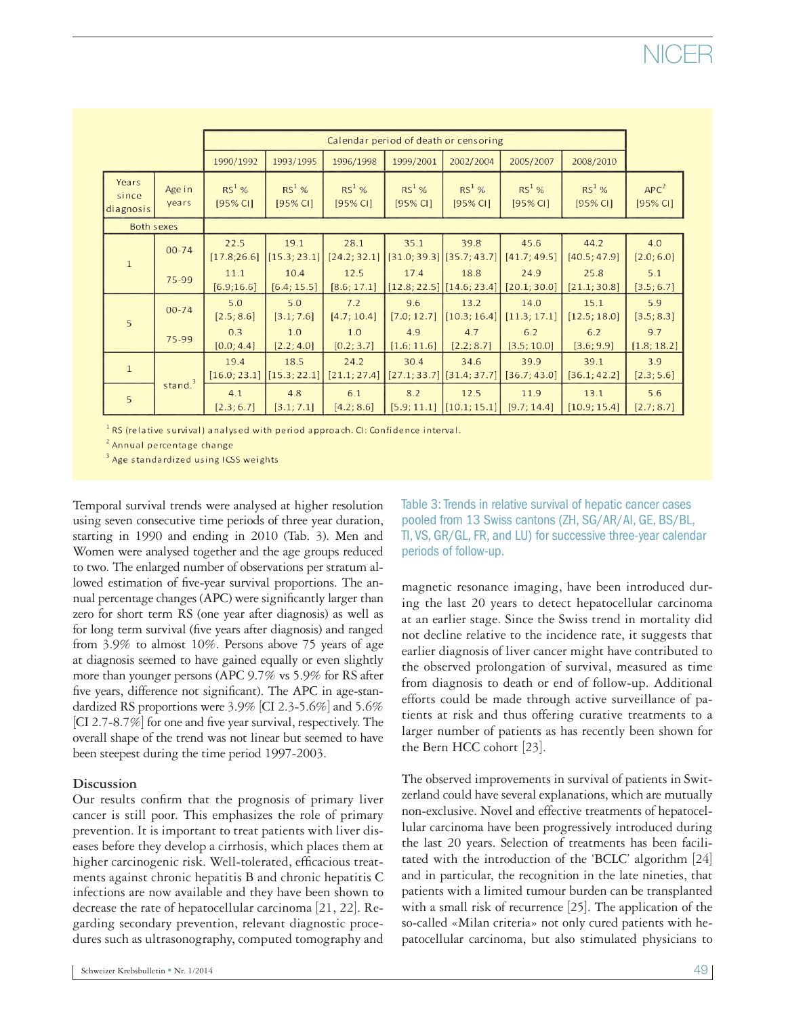|                             | Calendar period of death or censoring |                      |                                   |                      |                      |                                       |                      |                      |                              |
|-----------------------------|---------------------------------------|----------------------|-----------------------------------|----------------------|----------------------|---------------------------------------|----------------------|----------------------|------------------------------|
|                             |                                       | 1990/1992            | 1993/1995                         | 1996/1998            | 1999/2001            | 2002/2004                             | 2005/2007            | 2008/2010            |                              |
| Years<br>since<br>diagnosis | Age in<br>years                       | $RS^1$ %<br>[95% CI] | $RS^1$ %<br>[95% CI]              | $RS^1$ %<br>[95% CI] | $RS^1$ %<br>[95% CI] | $RS^1$ %<br>[95% CI]                  | $RS^1$ %<br>[95% CI] | $RS^1$ %<br>[95% CI] | APC <sup>2</sup><br>[95% CI] |
| <b>Both sexes</b>           |                                       |                      |                                   |                      |                      |                                       |                      |                      |                              |
| $\mathbf{1}$                | $00 - 74$                             | 22.5<br>[17.8;26.6]  | 19.1<br>$\left[15.3; 23.1\right]$ | 28.1<br>[24.2; 32.1] | 35.1                 | 39.8<br>$[31.0; 39.3]$ [35.7; 43.7]   | 45.6<br>[41.7; 49.5] | 44.2<br>[40.5; 47.9] | 4.0<br>[2.0; 6.0]            |
|                             | 75-99                                 | 11.1<br>[6.9; 16.6]  | 10.4<br>[6.4; 15.5]               | 12.5<br>[8.6; 17.1]  | 17.4                 | 18.8<br>$[12.8; 22.5]$ $[14.6; 23.4]$ | 24.9<br>[20.1; 30.0] | 25.8<br>[21.1; 30.8] | 5.1<br>[3.5; 6.7]            |
| 5                           | $00 - 74$                             | 5.0<br>[2.5; 8.6]    | 5.0<br>[3.1; 7.6]                 | 7.2<br>[4.7; 10.4]   | 9.6<br>[7.0; 12.7]   | 13.2<br>[10.3; 16.4]                  | 14.0<br>[11.3; 17.1] | 15.1<br>[12.5; 18.0] | 5.9<br>[3.5; 8.3]            |
|                             | 75-99                                 | 0.3<br>[0.0; 4.4]    | 1.0<br>[2.2; 4.0]                 | 1.0<br>[0.2; 3.7]    | 4.9<br>[1.6; 11.6]   | 4.7<br>[2.2; 8.7]                     | 6.2<br>[3.5; 10.0]   | 6.2<br>[3.6; 9.9]    | 9.7<br>[1.8; 18.2]           |
| $\mathbf{1}$                |                                       | 19.4<br>[16.0; 23.1] | 18.5<br>[15.3; 22.1]              | 24.2<br>[21.1; 27.4] | 30.4                 | 34.6<br>$[27.1; 33.7]$ [31.4; 37.7]   | 39.9<br>[36.7; 43.0] | 39.1<br>[36.1; 42.2] | 3.9<br>[2.3; 5.6]            |
| 5                           | stand. $3$                            | 4.1<br>[2.3; 6.7]    | 4.8<br>[3.1; 7.1]                 | 6.1<br>[4.2; 8.6]    | 8.2<br>[5.9; 11.1]   | 12.5<br>[10.1; 15.1]                  | 11.9<br>[9.7; 14.4]  | 13.1<br>[10.9; 15.4] | 5.6<br>[2.7; 8.7]            |

<sup>1</sup> RS (relative survival) analysed with period approach. CI: Confidence interval.

<sup>2</sup> Annual percentage change

<sup>3</sup> Age standardized using ICSS weights

Temporal survival trends were analysed at higher resolution using seven consecutive time periods of three year duration, starting in 1990 and ending in 2010 (Tab. 3). Men and Women were analysed together and the age groups reduced to two. The enlarged number of observations per stratum allowed estimation of five-year survival proportions. The annual percentage changes (APC) were significantly larger than zero for short term RS (one year after diagnosis) as well as for long term survival (five years after diagnosis) and ranged from 3.9% to almost 10%. Persons above 75 years of age at diagnosis seemed to have gained equally or even slightly more than younger persons (APC 9.7% vs 5.9% for RS after five years, difference not significant). The APC in age-standardized RS proportions were 3.9% [CI 2.3-5.6%] and 5.6% [CI 2.7-8.7%] for one and five year survival, respectively. The overall shape of the trend was not linear but seemed to have been steepest during the time period 1997-2003.

### **Discussion**

Our results confirm that the prognosis of primary liver cancer is still poor. This emphasizes the role of primary prevention. It is important to treat patients with liver diseases before they develop a cirrhosis, which places them at higher carcinogenic risk. Well-tolerated, efficacious treatments against chronic hepatitis B and chronic hepatitis C infections are now available and they have been shown to decrease the rate of hepatocellular carcinoma [21, 22]. Regarding secondary prevention, relevant diagnostic procedures such as ultrasonography, computed tomography and

Table 3: Trends in relative survival of hepatic cancer cases pooled from 13 Swiss cantons (ZH, SG/AR/AI, GE, BS/BL, TI, VS, GR/GL, FR, and LU) for successive three-year calendar periods of follow-up.

magnetic resonance imaging, have been introduced during the last 20 years to detect hepatocellular carcinoma at an earlier stage. Since the Swiss trend in mortality did not decline relative to the incidence rate, it suggests that earlier diagnosis of liver cancer might have contributed to the observed prolongation of survival, measured as time from diagnosis to death or end of follow-up. Additional efforts could be made through active surveillance of patients at risk and thus offering curative treatments to a larger number of patients as has recently been shown for the Bern HCC cohort [23].

The observed improvements in survival of patients in Switzerland could have several explanations, which are mutually non-exclusive. Novel and effective treatments of hepatocellular carcinoma have been progressively introduced during the last 20 years. Selection of treatments has been facilitated with the introduction of the 'BCLC' algorithm [24] and in particular, the recognition in the late nineties, that patients with a limited tumour burden can be transplanted with a small risk of recurrence [25]. The application of the so-called «Milan criteria» not only cured patients with hepatocellular carcinoma, but also stimulated physicians to